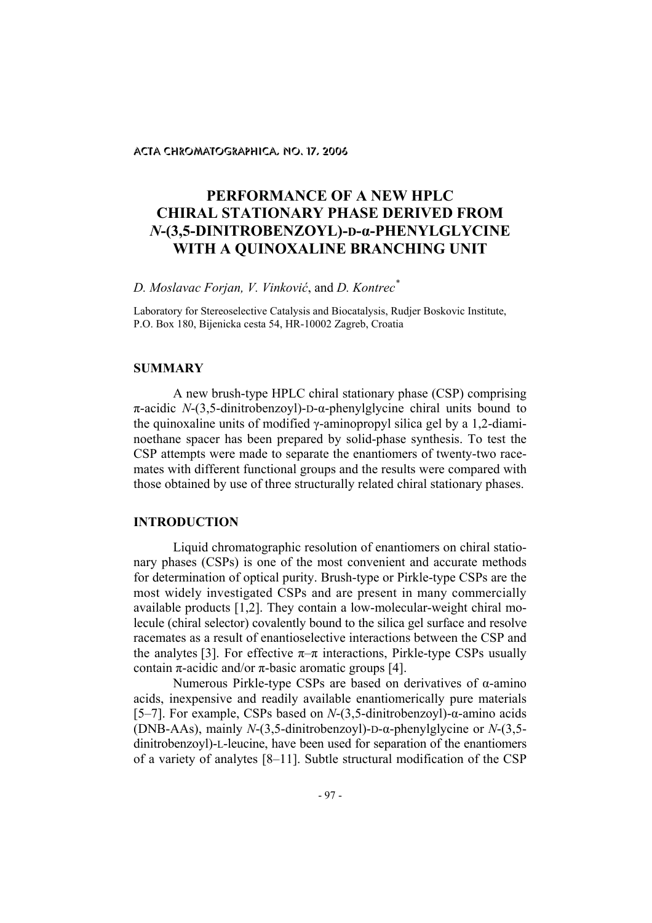# **PERFORMANCE OF A NEW HPLC CHIRAL STATIONARY PHASE DERIVED FROM**  *N***-(3,5-DINITROBENZOYL)-D-α-PHENYLGLYCINE WITH A QUINOXALINE BRANCHING UNIT**

### *D. Moslavac Forjan, V. Vinković*, and *D. Kontrec\**

Laboratory for Stereoselective Catalysis and Biocatalysis, Rudjer Boskovic Institute, P.O. Box 180, Bijenicka cesta 54, HR-10002 Zagreb, Croatia

# **SUMMARY**

A new brush-type HPLC chiral stationary phase (CSP) comprising π-acidic *N*-(3,5-dinitrobenzoyl)-D-α-phenylglycine chiral units bound to the quinoxaline units of modified γ-aminopropyl silica gel by a 1,2-diaminoethane spacer has been prepared by solid-phase synthesis. To test the CSP attempts were made to separate the enantiomers of twenty-two racemates with different functional groups and the results were compared with those obtained by use of three structurally related chiral stationary phases.

#### **INTRODUCTION**

Liquid chromatographic resolution of enantiomers on chiral stationary phases (CSPs) is one of the most convenient and accurate methods for determination of optical purity. Brush-type or Pirkle-type CSPs are the most widely investigated CSPs and are present in many commercially available products [1,2]. They contain a low-molecular-weight chiral molecule (chiral selector) covalently bound to the silica gel surface and resolve racemates as a result of enantioselective interactions between the CSP and the analytes [3]. For effective  $\pi-\pi$  interactions, Pirkle-type CSPs usually contain π-acidic and/or π-basic aromatic groups [4].

Numerous Pirkle-type CSPs are based on derivatives of α-amino acids, inexpensive and readily available enantiomerically pure materials [5–7]. For example, CSPs based on *N*-(3,5-dinitrobenzoyl)-α-amino acids (DNB-AAs), mainly *N*-(3,5-dinitrobenzoyl)-D-α-phenylglycine or *N*-(3,5 dinitrobenzoyl)-L-leucine, have been used for separation of the enantiomers of a variety of analytes [8–11]. Subtle structural modification of the CSP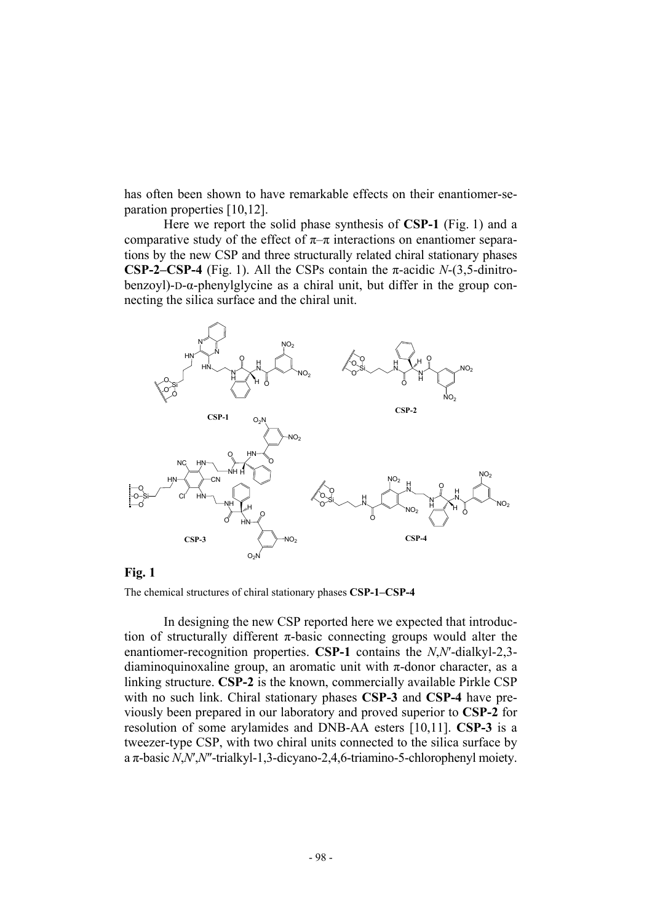has often been shown to have remarkable effects on their enantiomer-separation properties [10,12].

Here we report the solid phase synthesis of **CSP-1** (Fig. 1) and a comparative study of the effect of  $\pi-\pi$  interactions on enantiomer separations by the new CSP and three structurally related chiral stationary phases **CSP-2–CSP-4** (Fig. 1). All the CSPs contain the  $\pi$ -acidic *N*-(3,5-dinitrobenzoyl)-D-α-phenylglycine as a chiral unit, but differ in the group connecting the silica surface and the chiral unit.



#### **Fig. 1**

The chemical structures of chiral stationary phases **CSP-1–CSP-4**

In designing the new CSP reported here we expected that introduction of structurally different  $\pi$ -basic connecting groups would alter the enantiomer-recognition properties. **CSP-1** contains the *N*,*N*′-dialkyl-2,3 diaminoquinoxaline group, an aromatic unit with  $\pi$ -donor character, as a linking structure. **CSP-2** is the known, commercially available Pirkle CSP with no such link. Chiral stationary phases **CSP-3** and **CSP-4** have previously been prepared in our laboratory and proved superior to **CSP-2** for resolution of some arylamides and DNB-AA esters [10,11]. **CSP-3** is a tweezer-type CSP, with two chiral units connected to the silica surface by a π-basic *N*,*N*′,*N*″-trialkyl-1,3-dicyano-2,4,6-triamino-5-chlorophenyl moiety.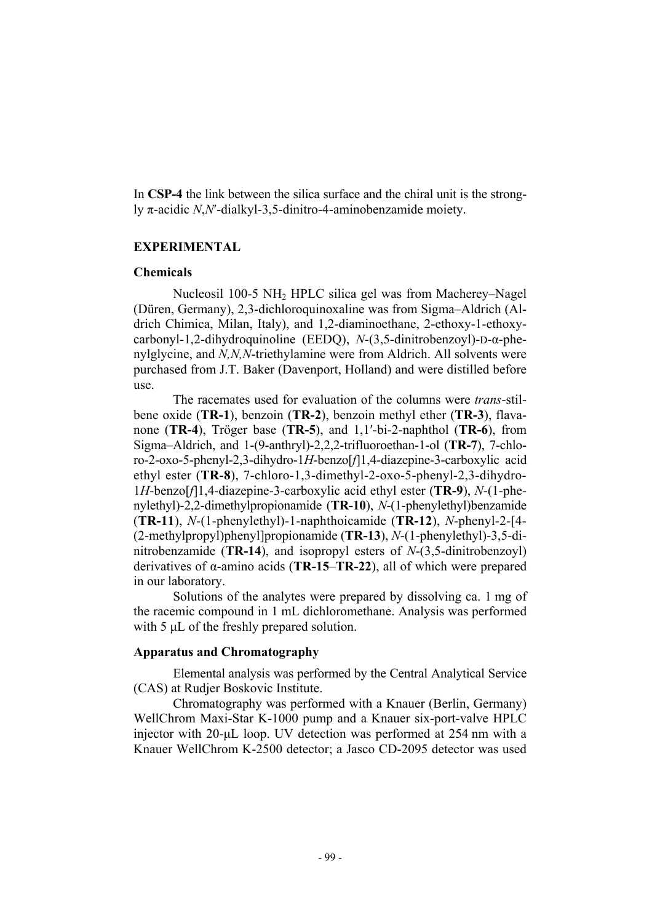In **CSP-4** the link between the silica surface and the chiral unit is the strongly π-acidic *N*,*N*′-dialkyl-3,5-dinitro-4-aminobenzamide moiety.

## **EXPERIMENTAL**

## **Chemicals**

Nucleosil 100-5 NH2 HPLC silica gel was from Macherey–Nagel (Düren, Germany), 2,3-dichloroquinoxaline was from Sigma–Aldrich (Aldrich Chimica, Milan, Italy), and 1,2-diaminoethane, 2-ethoxy-1-ethoxycarbonyl-1,2-dihydroquinoline (EEDQ), *N*-(3,5-dinitrobenzoyl)-D-α-phenylglycine, and *N,N,N*-triethylamine were from Aldrich. All solvents were purchased from J.T. Baker (Davenport, Holland) and were distilled before use.

The racemates used for evaluation of the columns were *trans*-stilbene oxide (**TR-1**), benzoin (**TR-2**), benzoin methyl ether (**TR-3**), flavanone (**TR-4**), Tröger base (**TR-5**), and 1,1′-bi-2-naphthol (**TR-6**), from Sigma–Aldrich, and 1-(9-anthryl)-2,2,2-trifluoroethan-1-ol (**TR-7**), 7-chloro-2-oxo-5-phenyl-2,3-dihydro-1*H*-benzo[*f*]1,4-diazepine-3-carboxylic acid ethyl ester (**TR-8**), 7-chloro-1,3-dimethyl-2-oxo-5-phenyl-2,3-dihydro-1*H*-benzo[*f*]1,4-diazepine-3-carboxylic acid ethyl ester (**TR-9**), *N*-(1-phenylethyl)-2,2-dimethylpropionamide (**TR-10**), *N*-(1-phenylethyl)benzamide (**TR-11**), *N*-(1-phenylethyl)-1-naphthoicamide (**TR-12**), *N*-phenyl-2-[4- (2-methylpropyl)phenyl]propionamide (**TR-13**), *N*-(1-phenylethyl)-3,5-dinitrobenzamide (**TR-14**), and isopropyl esters of *N*-(3,5-dinitrobenzoyl) derivatives of α-amino acids (**TR-15**–**TR-22**), all of which were prepared in our laboratory.

Solutions of the analytes were prepared by dissolving ca. 1 mg of the racemic compound in 1 mL dichloromethane. Analysis was performed with 5  $\mu$ L of the freshly prepared solution.

#### **Apparatus and Chromatography**

Elemental analysis was performed by the Central Analytical Service (CAS) at Rudjer Boskovic Institute.

Chromatography was performed with a Knauer (Berlin, Germany) WellChrom Maxi-Star K-1000 pump and a Knauer six-port-valve HPLC injector with 20-µL loop. UV detection was performed at 254 nm with a Knauer WellChrom K-2500 detector; a Jasco CD-2095 detector was used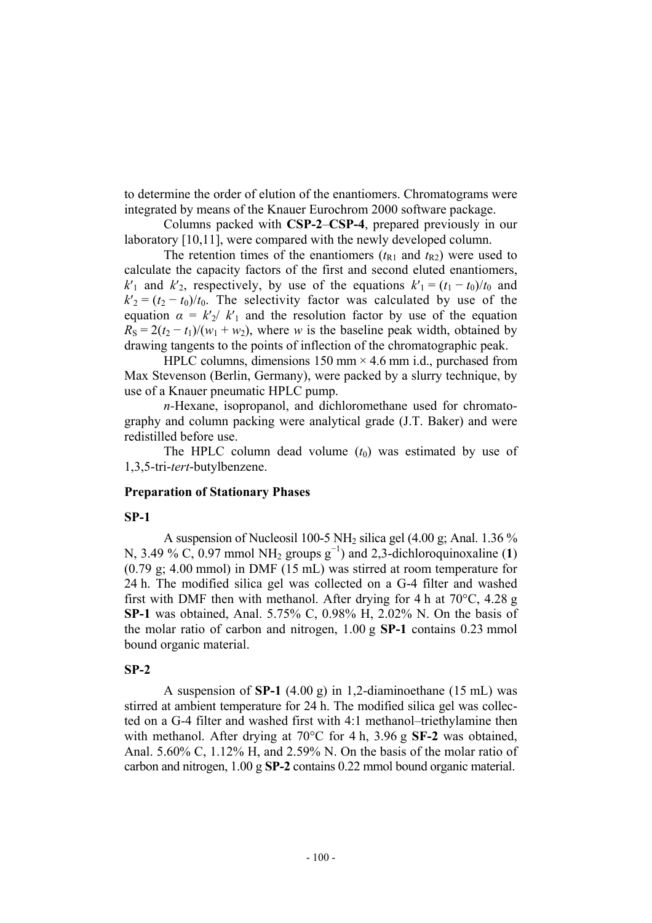to determine the order of elution of the enantiomers. Chromatograms were integrated by means of the Knauer Eurochrom 2000 software package.

 Columns packed with **CSP-2**–**CSP-4**, prepared previously in our laboratory [10,11], were compared with the newly developed column.

The retention times of the enantiomers  $(t_{R1}$  and  $t_{R2})$  were used to calculate the capacity factors of the first and second eluted enantiomers, *k*<sup>'</sup><sub>1</sub> and *k*<sup>'</sup><sub>2</sub>, respectively, by use of the equations  $k'_{1} = (t_1 - t_0)/t_0$  and  $k'_{2} = (t_{2} - t_{0})/t_{0}$ . The selectivity factor was calculated by use of the equation  $\alpha = k'_2/k'_1$  and the resolution factor by use of the equation  $R_S = 2(t_2 - t_1)/(w_1 + w_2)$ , where *w* is the baseline peak width, obtained by drawing tangents to the points of inflection of the chromatographic peak.

HPLC columns, dimensions 150 mm  $\times$  4.6 mm i.d., purchased from Max Stevenson (Berlin, Germany), were packed by a slurry technique, by use of a Knauer pneumatic HPLC pump.

*n-*Hexane, isopropanol, and dichloromethane used for chromatography and column packing were analytical grade (J.T. Baker) and were redistilled before use.

The HPLC column dead volume  $(t_0)$  was estimated by use of 1,3,5-tri-*tert*-butylbenzene.

## **Preparation of Stationary Phases**

### **SP-1**

A suspension of Nucleosil 100-5 NH<sub>2</sub> silica gel  $(4.00 \text{ g}; \text{Anal. } 1.36 \%$ N, 3.49 % C, 0.97 mmol NH<sub>2</sub> groups  $g^{-1}$ ) and 2,3-dichloroquinoxaline (1) (0.79 g; 4.00 mmol) in DMF (15 mL) was stirred at room temperature for 24 h. The modified silica gel was collected on a G-4 filter and washed first with DMF then with methanol. After drying for 4 h at  $70^{\circ}$ C, 4.28 g **SP-1** was obtained, Anal. 5.75% C, 0.98% H, 2.02% N. On the basis of the molar ratio of carbon and nitrogen, 1.00 g **SP-1** contains 0.23 mmol bound organic material.

### **SP-2**

A suspension of **SP-1** (4.00 g) in 1,2-diaminoethane (15 mL) was stirred at ambient temperature for 24 h. The modified silica gel was collected on a G-4 filter and washed first with 4:1 methanol–triethylamine then with methanol. After drying at 70°C for 4 h, 3.96 g **SF-2** was obtained, Anal. 5.60% C, 1.12% H, and 2.59% N. On the basis of the molar ratio of carbon and nitrogen, 1.00 g **SP-2** contains 0.22 mmol bound organic material.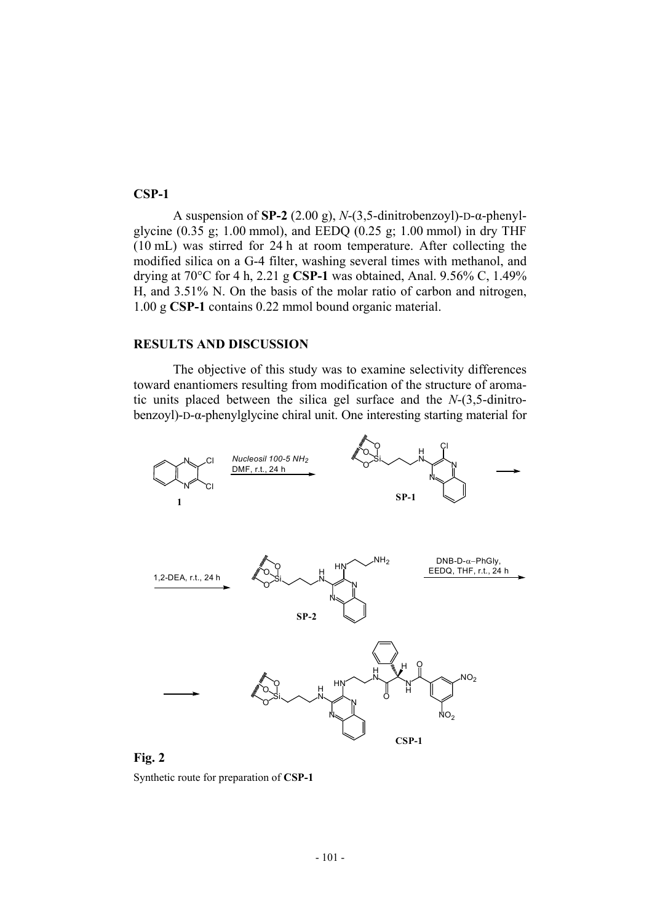## **CSP-1**

A suspension of **SP-2** (2.00 g), *N*-(3,5-dinitrobenzoyl)-D-α-phenylglycine  $(0.35 \text{ g}; 1.00 \text{ mmol})$ , and EEDQ  $(0.25 \text{ g}; 1.00 \text{ mmol})$  in dry THF (10 mL) was stirred for 24 h at room temperature. After collecting the modified silica on a G-4 filter, washing several times with methanol, and drying at 70°C for 4 h, 2.21 g **CSP-1** was obtained, Anal. 9.56% C, 1.49% H, and 3.51% N. On the basis of the molar ratio of carbon and nitrogen, 1.00 g **CSP-1** contains 0.22 mmol bound organic material.

## **RESULTS AND DISCUSSION**

The objective of this study was to examine selectivity differences toward enantiomers resulting from modification of the structure of aromatic units placed between the silica gel surface and the *N*-(3,5-dinitrobenzoyl)-D-α-phenylglycine chiral unit. One interesting starting material for



**Fig. 2** 

Synthetic route for preparation of **CSP-1**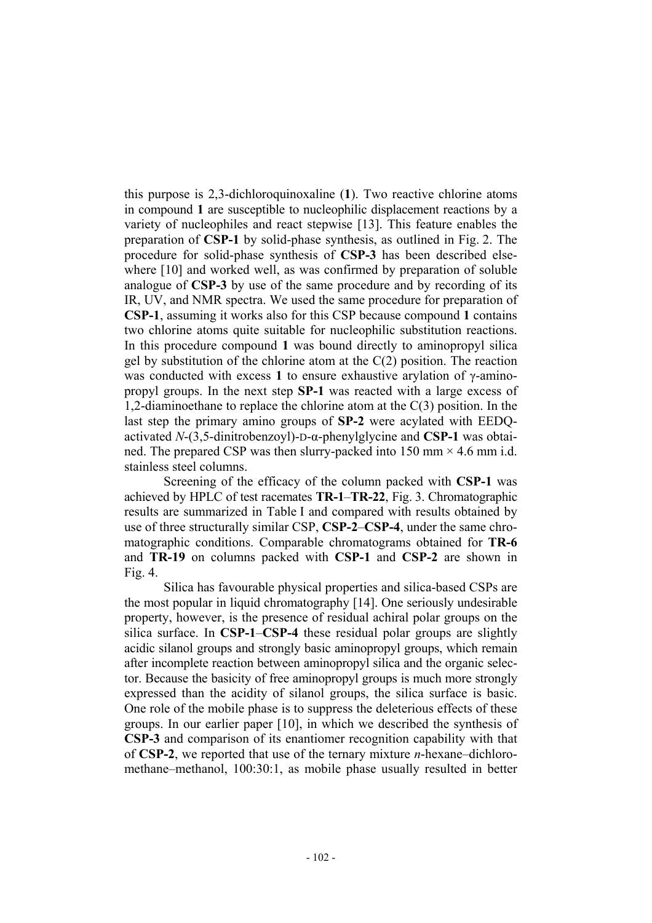this purpose is 2,3-dichloroquinoxaline (**1**). Two reactive chlorine atoms in compound **1** are susceptible to nucleophilic displacement reactions by a variety of nucleophiles and react stepwise [13]. This feature enables the preparation of **CSP-1** by solid-phase synthesis, as outlined in Fig. 2. The procedure for solid-phase synthesis of **CSP-3** has been described elsewhere [10] and worked well, as was confirmed by preparation of soluble analogue of **CSP-3** by use of the same procedure and by recording of its IR, UV, and NMR spectra. We used the same procedure for preparation of **CSP-1**, assuming it works also for this CSP because compound **1** contains two chlorine atoms quite suitable for nucleophilic substitution reactions. In this procedure compound **1** was bound directly to aminopropyl silica gel by substitution of the chlorine atom at the  $C(2)$  position. The reaction was conducted with excess **1** to ensure exhaustive arylation of γ-aminopropyl groups. In the next step **SP-1** was reacted with a large excess of 1,2-diaminoethane to replace the chlorine atom at the C(3) position. In the last step the primary amino groups of **SP-2** were acylated with EEDQactivated *N*-(3,5-dinitrobenzoyl)-D-α-phenylglycine and **CSP-1** was obtained. The prepared CSP was then slurry-packed into 150 mm  $\times$  4.6 mm i.d. stainless steel columns.

Screening of the efficacy of the column packed with **CSP-1** was achieved by HPLC of test racemates **TR-1**–**TR-22**, Fig. 3. Chromatographic results are summarized in Table I and compared with results obtained by use of three structurally similar CSP, **CSP-2**–**CSP-4**, under the same chromatographic conditions. Comparable chromatograms obtained for **TR-6** and **TR-19** on columns packed with **CSP-1** and **CSP-2** are shown in Fig. 4.

Silica has favourable physical properties and silica-based CSPs are the most popular in liquid chromatography [14]. One seriously undesirable property, however, is the presence of residual achiral polar groups on the silica surface. In **CSP-1**–**CSP-4** these residual polar groups are slightly acidic silanol groups and strongly basic aminopropyl groups, which remain after incomplete reaction between aminopropyl silica and the organic selector. Because the basicity of free aminopropyl groups is much more strongly expressed than the acidity of silanol groups, the silica surface is basic. One role of the mobile phase is to suppress the deleterious effects of these groups. In our earlier paper [10], in which we described the synthesis of **CSP-3** and comparison of its enantiomer recognition capability with that of **CSP-2**, we reported that use of the ternary mixture *n*-hexane–dichloromethane–methanol, 100:30:1, as mobile phase usually resulted in better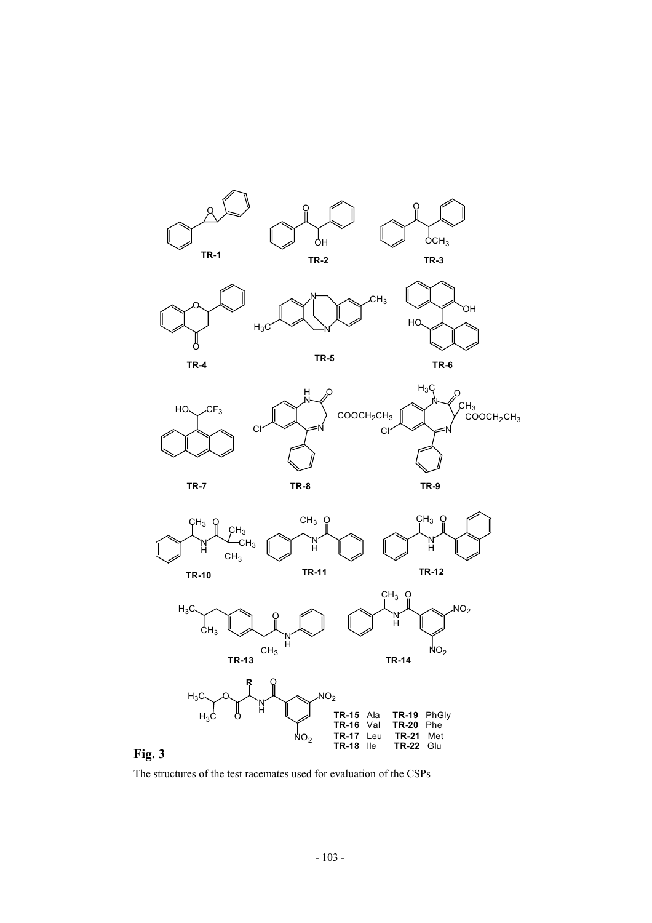



The structures of the test racemates used for evaluation of the CSPs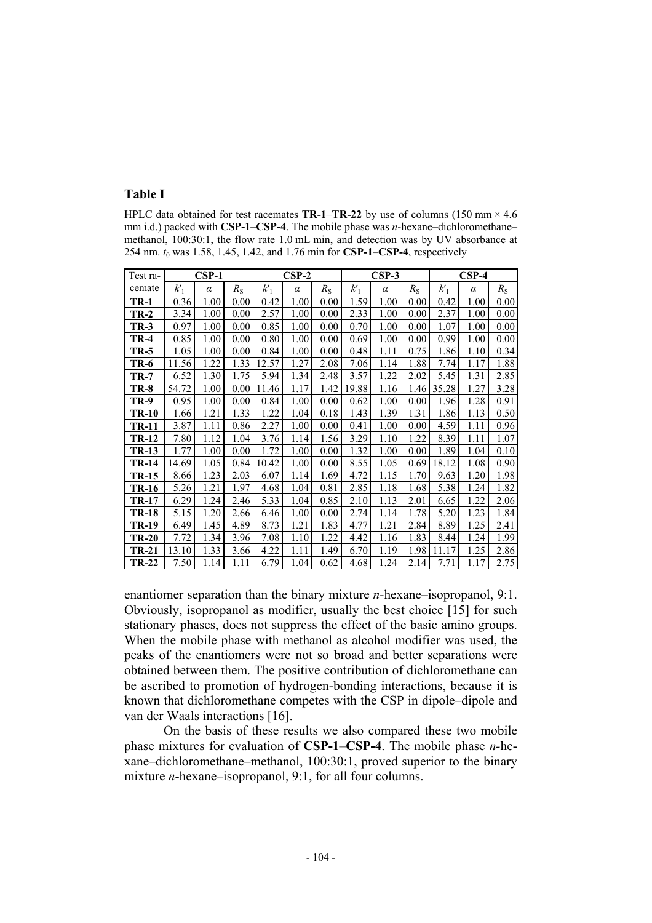## **Table I**

HPLC data obtained for test racemates  $TR-1-TR-22$  by use of columns (150 mm  $\times$  4.6 mm i.d.) packed with **CSP-1**–**CSP-4**. The mobile phase was *n*-hexane–dichloromethane– methanol, 100:30:1, the flow rate 1.0 mL min, and detection was by UV absorbance at 254 nm. *t*0 was 1.58, 1.45, 1.42, and 1.76 min for **CSP-1**–**CSP-4**, respectively

| Test ra-     | $CSP-1$ |          |             | $CSP-2$ |          |             | $CSP-3$ |          |             | $CSP-4$ |          |             |
|--------------|---------|----------|-------------|---------|----------|-------------|---------|----------|-------------|---------|----------|-------------|
| cemate       | $k_1$   | $\alpha$ | $R_{\rm S}$ | $k_1'$  | $\alpha$ | $R_{\rm S}$ | $k_1'$  | $\alpha$ | $R_{\rm S}$ | $k_1$   | $\alpha$ | $R_{\rm S}$ |
| <b>TR-1</b>  | 0.36    | 1.00     | 0.00        | 0.42    | 1.00     | 0.00        | 1.59    | 1.00     | 0.00        | 0.42    | 1.00     | 0.00        |
| $TR-2$       | 3.34    | 1.00     | 0.00        | 2.57    | 1.00     | 0.00        | 2.33    | 1.00     | 0.00        | 2.37    | 1.00     | 0.00        |
| $TR-3$       | 0.97    | 1.00     | 0.00        | 0.85    | 1.00     | 0.00        | 0.70    | 1.00     | 0.00        | 1.07    | 1.00     | 0.00        |
| $TR-4$       | 0.85    | 1.00     | 0.00        | 0.80    | 1.00     | 0.00        | 0.69    | 1.00     | 0.00        | 0.99    | 1.00     | 0.00        |
| <b>TR-5</b>  | 1.05    | 1.00     | 0.00        | 0.84    | 1.00     | 0.00        | 0.48    | 1.11     | 0.75        | 1.86    | 1.10     | 0.34        |
| <b>TR-6</b>  | 11.56   | 1.22     | 1.33        | 12.57   | 1.27     | 2.08        | 7.06    | 1.14     | 1.88        | 7.74    | 1.17     | 1.88        |
| $TR-7$       | 6.52    | 1.30     | 1.75        | 5.94    | 1.34     | 2.48        | 3.57    | 1.22     | 2.02        | 5.45    | 1.31     | 2.85        |
| <b>TR-8</b>  | 54.72   | 1.00     | 0.00        | 11.46   | 1.17     | 1.42        | 19.88   | 1.16     | 1.46        | 35.28   | 1.27     | 3.28        |
| <b>TR-9</b>  | 0.95    | 1.00     | 0.00        | 0.84    | 1.00     | 0.00        | 0.62    | 1.00     | 0.00        | 1.96    | 1.28     | 0.91        |
| <b>TR-10</b> | 1.66    | 1.21     | 1.33        | 1.22    | 1.04     | 0.18        | 1.43    | 1.39     | 1.31        | 1.86    | 1.13     | 0.50        |
| <b>TR-11</b> | 3.87    | 1.11     | 0.86        | 2.27    | 1.00     | 0.00        | 0.41    | 1.00     | 0.00        | 4.59    | 1.11     | 0.96        |
| <b>TR-12</b> | 7.80    | 1.12     | 1.04        | 3.76    | 1.14     | 1.56        | 3.29    | 1.10     | 1.22        | 8.39    | 1.11     | 1.07        |
| <b>TR-13</b> | 1.77    | 1.00     | 0.00        | 1.72    | 1.00     | 0.00        | 1.32    | 1.00     | 0.00        | 1.89    | 1.04     | 0.10        |
| <b>TR-14</b> | 14.69   | 1.05     | 0.84        | 10.42   | 1.00     | 0.00        | 8.55    | 1.05     | 0.69        | 18.12   | 1.08     | 0.90        |
| <b>TR-15</b> | 8.66    | 1.23     | 2.03        | 6.07    | 1.14     | 1.69        | 4.72    | 1.15     | 1.70        | 9.63    | 1.20     | 1.98        |
| <b>TR-16</b> | 5.26    | 1.21     | 1.97        | 4.68    | 1.04     | 0.81        | 2.85    | 1.18     | 1.68        | 5.38    | 1.24     | 1.82        |
| <b>TR-17</b> | 6.29    | 1.24     | 2.46        | 5.33    | 1.04     | 0.85        | 2.10    | 1.13     | 2.01        | 6.65    | 1.22     | 2.06        |
| <b>TR-18</b> | 5.15    | 1.20     | 2.66        | 6.46    | 1.00     | 0.00        | 2.74    | 1.14     | 1.78        | 5.20    | 1.23     | 1.84        |
| <b>TR-19</b> | 6.49    | 1.45     | 4.89        | 8.73    | 1.21     | 1.83        | 4.77    | 1.21     | 2.84        | 8.89    | 1.25     | 2.41        |
| <b>TR-20</b> | 7.72    | 1.34     | 3.96        | 7.08    | 1.10     | 1.22        | 4.42    | 1.16     | 1.83        | 8.44    | 1.24     | 1.99        |
| <b>TR-21</b> | 13.10   | 1.33     | 3.66        | 4.22    | 1.11     | 1.49        | 6.70    | 1.19     | 1.98        | 11.17   | 1.25     | 2.86        |
| <b>TR-22</b> | 7.50    | 1.14     | 1.11        | 6.79    | 1.04     | 0.62        | 4.68    | 1.24     | 2.14        | 7.71    | 1.17     | 2.75        |

enantiomer separation than the binary mixture *n*-hexane–isopropanol, 9:1. Obviously, isopropanol as modifier, usually the best choice [15] for such stationary phases, does not suppress the effect of the basic amino groups. When the mobile phase with methanol as alcohol modifier was used, the peaks of the enantiomers were not so broad and better separations were obtained between them. The positive contribution of dichloromethane can be ascribed to promotion of hydrogen-bonding interactions, because it is known that dichloromethane competes with the CSP in dipole–dipole and van der Waals interactions [16].

On the basis of these results we also compared these two mobile phase mixtures for evaluation of **CSP-1**–**CSP-4**. The mobile phase *n-*hexane–dichloromethane–methanol, 100:30:1, proved superior to the binary mixture *n*-hexane–isopropanol, 9:1, for all four columns.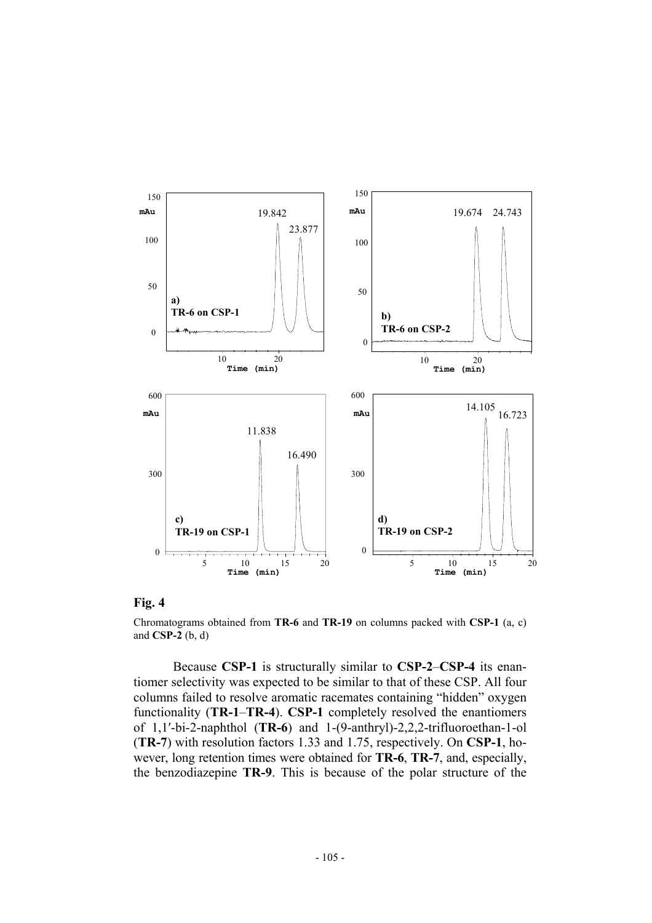

### **Fig. 4**

Chromatograms obtained from **TR-6** and **TR-19** on columns packed with **CSP-1** (a, c) and **CSP-2** (b, d)

 Because **CSP-1** is structurally similar to **CSP-2**–**CSP-4** its enantiomer selectivity was expected to be similar to that of these CSP. All four columns failed to resolve aromatic racemates containing "hidden" oxygen functionality (**TR-1**–**TR-4**). **CSP-1** completely resolved the enantiomers of 1,1′-bi-2-naphthol (**TR-6**) and 1-(9-anthryl)-2,2,2-trifluoroethan-1-ol (**TR-7**) with resolution factors 1.33 and 1.75, respectively. On **CSP-1**, however, long retention times were obtained for **TR-6**, **TR-7**, and, especially, the benzodiazepine **TR-9**. This is because of the polar structure of the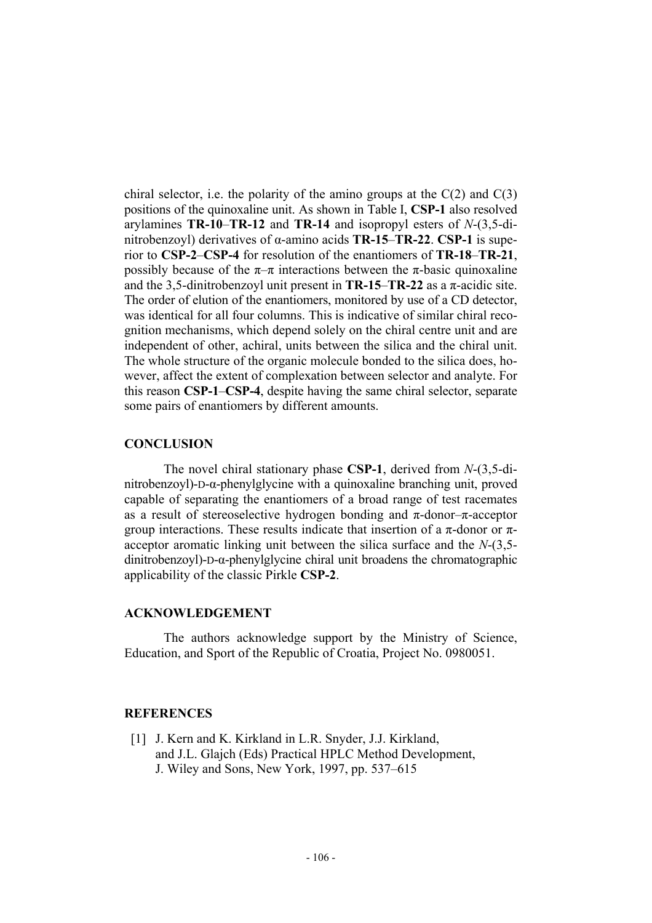chiral selector, i.e. the polarity of the amino groups at the  $C(2)$  and  $C(3)$ positions of the quinoxaline unit. As shown in Table I, **CSP-1** also resolved arylamines **TR-10**–**TR-12** and **TR-14** and isopropyl esters of *N*-(3,5-dinitrobenzoyl) derivatives of α-amino acids **TR-15**–**TR-22**. **CSP-1** is superior to **CSP-2**–**CSP-4** for resolution of the enantiomers of **TR-18**–**TR-21**, possibly because of the  $\pi-\pi$  interactions between the  $\pi$ -basic quinoxaline and the 3.5-dinitrobenzoyl unit present in  $TR-15-TR-22$  as a  $\pi$ -acidic site. The order of elution of the enantiomers, monitored by use of a CD detector, was identical for all four columns. This is indicative of similar chiral recognition mechanisms, which depend solely on the chiral centre unit and are independent of other, achiral, units between the silica and the chiral unit. The whole structure of the organic molecule bonded to the silica does, however, affect the extent of complexation between selector and analyte. For this reason **CSP-1**–**CSP-4**, despite having the same chiral selector, separate some pairs of enantiomers by different amounts.

### **CONCLUSION**

The novel chiral stationary phase **CSP-1**, derived from *N*-(3,5-dinitrobenzoyl)-D-α-phenylglycine with a quinoxaline branching unit, proved capable of separating the enantiomers of a broad range of test racemates as a result of stereoselective hydrogen bonding and  $\pi$ -donor– $\pi$ -acceptor group interactions. These results indicate that insertion of a  $\pi$ -donor or  $\pi$ acceptor aromatic linking unit between the silica surface and the *N*-(3,5 dinitrobenzoyl)-D-α-phenylglycine chiral unit broadens the chromatographic applicability of the classic Pirkle **CSP-2**.

### **ACKNOWLEDGEMENT**

The authors acknowledge support by the Ministry of Science, Education, and Sport of the Republic of Croatia, Project No. 0980051.

# **REFERENCES**

[1] J. Kern and K. Kirkland in L.R. Snyder, J.J. Kirkland, and J.L. Glajch (Eds) Practical HPLC Method Development, J. Wiley and Sons, New York, 1997, pp. 537–615